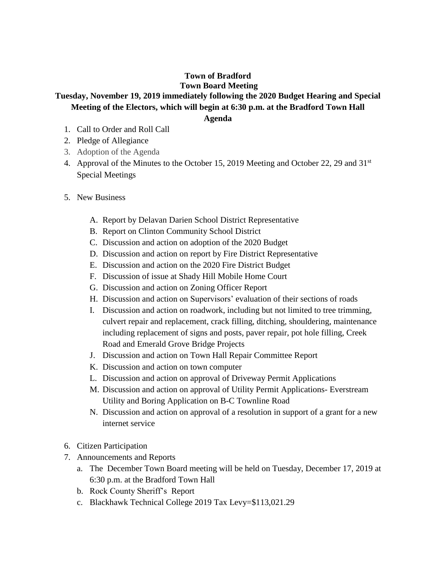## **Town of Bradford Town Board Meeting**

## **Tuesday, November 19, 2019 immediately following the 2020 Budget Hearing and Special Meeting of the Electors, which will begin at 6:30 p.m. at the Bradford Town Hall**

**Agenda**

- 1. Call to Order and Roll Call
- 2. Pledge of Allegiance
- 3. Adoption of the Agenda
- 4. Approval of the Minutes to the October 15, 2019 Meeting and October 22, 29 and  $31<sup>st</sup>$ Special Meetings
- 5. New Business
	- A. Report by Delavan Darien School District Representative
	- B. Report on Clinton Community School District
	- C. Discussion and action on adoption of the 2020 Budget
	- D. Discussion and action on report by Fire District Representative
	- E. Discussion and action on the 2020 Fire District Budget
	- F. Discussion of issue at Shady Hill Mobile Home Court
	- G. Discussion and action on Zoning Officer Report
	- H. Discussion and action on Supervisors' evaluation of their sections of roads
	- I. Discussion and action on roadwork, including but not limited to tree trimming, culvert repair and replacement, crack filling, ditching, shouldering, maintenance including replacement of signs and posts, paver repair, pot hole filling, Creek Road and Emerald Grove Bridge Projects
	- J. Discussion and action on Town Hall Repair Committee Report
	- K. Discussion and action on town computer
	- L. Discussion and action on approval of Driveway Permit Applications
	- M. Discussion and action on approval of Utility Permit Applications- Everstream Utility and Boring Application on B-C Townline Road
	- N. Discussion and action on approval of a resolution in support of a grant for a new internet service
- 6. Citizen Participation
- 7. Announcements and Reports
	- a. The December Town Board meeting will be held on Tuesday, December 17, 2019 at 6:30 p.m. at the Bradford Town Hall
	- b. Rock County Sheriff's Report
	- c. Blackhawk Technical College 2019 Tax Levy=\$113,021.29